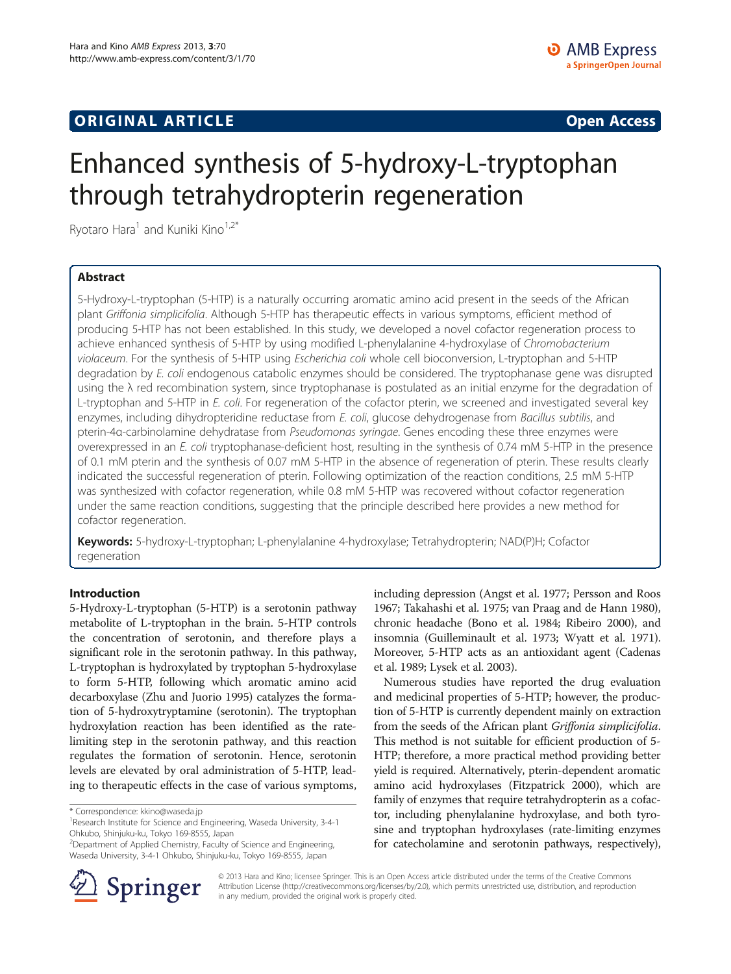# **ORIGINAL ARTICLE CONSUMING A LIGACION CONSUMING A LIGACION CONSUMING A LIGACION**

# Enhanced synthesis of 5-hydroxy-L-tryptophan through tetrahydropterin regeneration

Ryotaro Hara<sup>1</sup> and Kuniki Kino<sup>1,2\*</sup>

# Abstract

5-Hydroxy-L-tryptophan (5-HTP) is a naturally occurring aromatic amino acid present in the seeds of the African plant Griffonia simplicifolia. Although 5-HTP has therapeutic effects in various symptoms, efficient method of producing 5-HTP has not been established. In this study, we developed a novel cofactor regeneration process to achieve enhanced synthesis of 5-HTP by using modified L-phenylalanine 4-hydroxylase of Chromobacterium violaceum. For the synthesis of 5-HTP using Escherichia coli whole cell bioconversion, L-tryptophan and 5-HTP degradation by E. coli endogenous catabolic enzymes should be considered. The tryptophanase gene was disrupted using the  $\lambda$  red recombination system, since tryptophanase is postulated as an initial enzyme for the degradation of L-tryptophan and 5-HTP in E. coli. For regeneration of the cofactor pterin, we screened and investigated several key enzymes, including dihydropteridine reductase from E. coli, glucose dehydrogenase from Bacillus subtilis, and pterin-4α-carbinolamine dehydratase from Pseudomonas syringae. Genes encoding these three enzymes were overexpressed in an E. coli tryptophanase-deficient host, resulting in the synthesis of 0.74 mM 5-HTP in the presence of 0.1 mM pterin and the synthesis of 0.07 mM 5-HTP in the absence of regeneration of pterin. These results clearly indicated the successful regeneration of pterin. Following optimization of the reaction conditions, 2.5 mM 5-HTP was synthesized with cofactor regeneration, while 0.8 mM 5-HTP was recovered without cofactor regeneration under the same reaction conditions, suggesting that the principle described here provides a new method for cofactor regeneration.

Keywords: 5-hydroxy-L-tryptophan; L-phenylalanine 4-hydroxylase; Tetrahydropterin; NAD(P)H; Cofactor regeneration

## Introduction

5-Hydroxy-L-tryptophan (5-HTP) is a serotonin pathway metabolite of L-tryptophan in the brain. 5-HTP controls the concentration of serotonin, and therefore plays a significant role in the serotonin pathway. In this pathway, L-tryptophan is hydroxylated by tryptophan 5-hydroxylase to form 5-HTP, following which aromatic amino acid decarboxylase (Zhu and Juorio [1995](#page-6-0)) catalyzes the formation of 5-hydroxytryptamine (serotonin). The tryptophan hydroxylation reaction has been identified as the ratelimiting step in the serotonin pathway, and this reaction regulates the formation of serotonin. Hence, serotonin levels are elevated by oral administration of 5-HTP, leading to therapeutic effects in the case of various symptoms,

including depression (Angst et al. [1977;](#page-6-0) Persson and Roos [1967;](#page-6-0) Takahashi et al. [1975;](#page-6-0) van Praag and de Hann [1980](#page-6-0)), chronic headache (Bono et al. [1984;](#page-6-0) Ribeiro [2000\)](#page-6-0), and insomnia (Guilleminault et al. [1973](#page-6-0); Wyatt et al. [1971](#page-6-0)). Moreover, 5-HTP acts as an antioxidant agent (Cadenas et al. [1989](#page-6-0); Lysek et al. [2003](#page-6-0)).

Numerous studies have reported the drug evaluation and medicinal properties of 5-HTP; however, the production of 5-HTP is currently dependent mainly on extraction from the seeds of the African plant Griffonia simplicifolia. This method is not suitable for efficient production of 5- HTP; therefore, a more practical method providing better yield is required. Alternatively, pterin-dependent aromatic amino acid hydroxylases (Fitzpatrick [2000](#page-6-0)), which are family of enzymes that require tetrahydropterin as a cofactor, including phenylalanine hydroxylase, and both tyrosine and tryptophan hydroxylases (rate-limiting enzymes for catecholamine and serotonin pathways, respectively),



© 2013 Hara and Kino; licensee Springer. This is an Open Access article distributed under the terms of the Creative Commons Attribution License [\(http://creativecommons.org/licenses/by/2.0\)](http://creativecommons.org/licenses/by/2.0), which permits unrestricted use, distribution, and reproduction in any medium, provided the original work is properly cited.

<sup>\*</sup> Correspondence: [kkino@waseda.jp](mailto:kkino@waseda.jp) <sup>1</sup>

<sup>&</sup>lt;sup>1</sup> Research Institute for Science and Engineering, Waseda University, 3-4-1 Ohkubo, Shinjuku-ku, Tokyo 169-8555, Japan

<sup>2</sup> Department of Applied Chemistry, Faculty of Science and Engineering, Waseda University, 3-4-1 Ohkubo, Shinjuku-ku, Tokyo 169-8555, Japan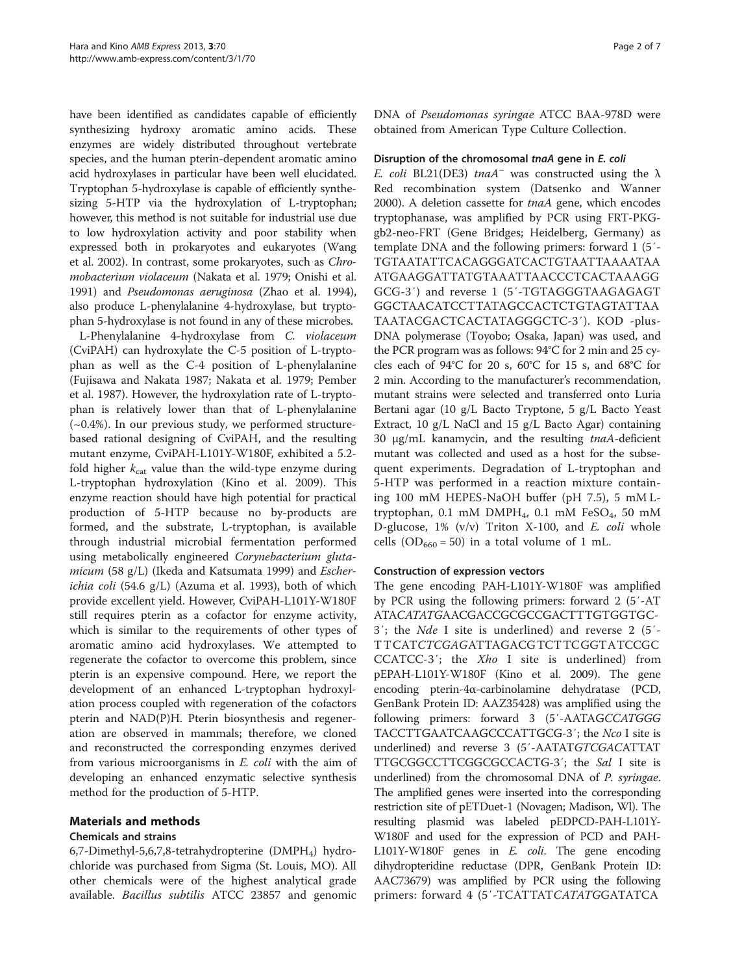have been identified as candidates capable of efficiently synthesizing hydroxy aromatic amino acids. These enzymes are widely distributed throughout vertebrate species, and the human pterin-dependent aromatic amino acid hydroxylases in particular have been well elucidated. Tryptophan 5-hydroxylase is capable of efficiently synthesizing 5-HTP via the hydroxylation of L-tryptophan; however, this method is not suitable for industrial use due to low hydroxylation activity and poor stability when expressed both in prokaryotes and eukaryotes (Wang et al. [2002\)](#page-6-0). In contrast, some prokaryotes, such as Chromobacterium violaceum (Nakata et al. [1979;](#page-6-0) Onishi et al. [1991\)](#page-6-0) and Pseudomonas aeruginosa (Zhao et al. [1994](#page-6-0)), also produce L-phenylalanine 4-hydroxylase, but tryptophan 5-hydroxylase is not found in any of these microbes.

L-Phenylalanine 4-hydroxylase from C. violaceum (CviPAH) can hydroxylate the C-5 position of L-tryptophan as well as the C-4 position of L-phenylalanine (Fujisawa and Nakata [1987](#page-6-0); Nakata et al. [1979](#page-6-0); Pember et al. [1987](#page-6-0)). However, the hydroxylation rate of L-tryptophan is relatively lower than that of L-phenylalanine  $(-0.4\%)$ . In our previous study, we performed structurebased rational designing of CviPAH, and the resulting mutant enzyme, CviPAH-L101Y-W180F, exhibited a 5.2 fold higher  $k_{\text{cat}}$  value than the wild-type enzyme during L-tryptophan hydroxylation (Kino et al. [2009](#page-6-0)). This enzyme reaction should have high potential for practical production of 5-HTP because no by-products are formed, and the substrate, L-tryptophan, is available through industrial microbial fermentation performed using metabolically engineered Corynebacterium gluta-micum (58 g/L) (Ikeda and Katsumata [1999\)](#page-6-0) and Escherichia coli (54.6 g/L) (Azuma et al. [1993\)](#page-6-0), both of which provide excellent yield. However, CviPAH-L101Y-W180F still requires pterin as a cofactor for enzyme activity, which is similar to the requirements of other types of aromatic amino acid hydroxylases. We attempted to regenerate the cofactor to overcome this problem, since pterin is an expensive compound. Here, we report the development of an enhanced L-tryptophan hydroxylation process coupled with regeneration of the cofactors pterin and NAD(P)H. Pterin biosynthesis and regeneration are observed in mammals; therefore, we cloned and reconstructed the corresponding enzymes derived from various microorganisms in E. coli with the aim of developing an enhanced enzymatic selective synthesis method for the production of 5-HTP.

# Materials and methods

# Chemicals and strains

6,7-Dimethyl-5,6,7,8-tetrahydropterine  $(DMPH_4)$  hydrochloride was purchased from Sigma (St. Louis, MO). All other chemicals were of the highest analytical grade available. Bacillus subtilis ATCC 23857 and genomic DNA of Pseudomonas syringae ATCC BAA-978D were obtained from American Type Culture Collection.

## Disruption of the chromosomal tnaA gene in E. coli

E. coli BL21(DE3) tnaA<sup>–</sup> was constructed using the  $\lambda$ Red recombination system (Datsenko and Wanner [2000](#page-6-0)). A deletion cassette for *tnaA* gene, which encodes tryptophanase, was amplified by PCR using FRT-PKGgb2-neo-FRT (Gene Bridges; Heidelberg, Germany) as template DNA and the following primers: forward 1 (5′- TGTAATATTCACAGGGATCACTGTAATTAAAATAA ATGAAGGATTATGTAAATTAACCCTCACTAAAGG GCG-3′) and reverse 1 (5′-TGTAGGGTAAGAGAGT GGCTAACATCCTTATAGCCACTCTGTAGTATTAA TAATACGACTCACTATAGGGCTC-3′). KOD -plus-DNA polymerase (Toyobo; Osaka, Japan) was used, and the PCR program was as follows: 94°C for 2 min and 25 cycles each of 94°C for 20 s, 60°C for 15 s, and 68°C for 2 min. According to the manufacturer's recommendation, mutant strains were selected and transferred onto Luria Bertani agar (10 g/L Bacto Tryptone, 5 g/L Bacto Yeast Extract, 10 g/L NaCl and 15 g/L Bacto Agar) containing 30 μg/mL kanamycin, and the resulting tnaA-deficient mutant was collected and used as a host for the subsequent experiments. Degradation of L-tryptophan and 5-HTP was performed in a reaction mixture containing 100 mM HEPES-NaOH buffer (pH 7.5), 5 mM Ltryptophan, 0.1 mM DMPH<sub>4</sub>, 0.1 mM FeSO<sub>4</sub>, 50 mM D-glucose,  $1\%$  (v/v) Triton X-100, and E. coli whole cells (OD<sub>660</sub> = 50) in a total volume of 1 mL.

# Construction of expression vectors

The gene encoding PAH-L101Y-W180F was amplified by PCR using the following primers: forward 2 (5′-AT ATACATATGAACGACCGCGCCGACTTTGTGGTGC-3′; the Nde I site is underlined) and reverse 2 (5′- TTCATCTCGAGATTAGACGTCTTCGGTATCCGC CCATCC-3′; the Xho I site is underlined) from pEPAH-L101Y-W180F (Kino et al. [2009\)](#page-6-0). The gene encoding pterin-4α-carbinolamine dehydratase (PCD, GenBank Protein ID: AAZ35428) was amplified using the following primers: forward 3 (5′-AATAGCCATGGG TACCTTGAATCAAGCCCATTGCG-3′; the Nco I site is underlined) and reverse 3 (5′-AATATGTCGACATTAT TTGCGGCCTTCGGCGCCACTG-3′; the Sal I site is underlined) from the chromosomal DNA of P. syringae. The amplified genes were inserted into the corresponding restriction site of pETDuet-1 (Novagen; Madison, Wl). The resulting plasmid was labeled pEDPCD-PAH-L101Y-W180F and used for the expression of PCD and PAH-L101Y-W180F genes in E. coli. The gene encoding dihydropteridine reductase (DPR, GenBank Protein ID: AAC73679) was amplified by PCR using the following primers: forward 4 (5′-TCATTATCATATGGATATCA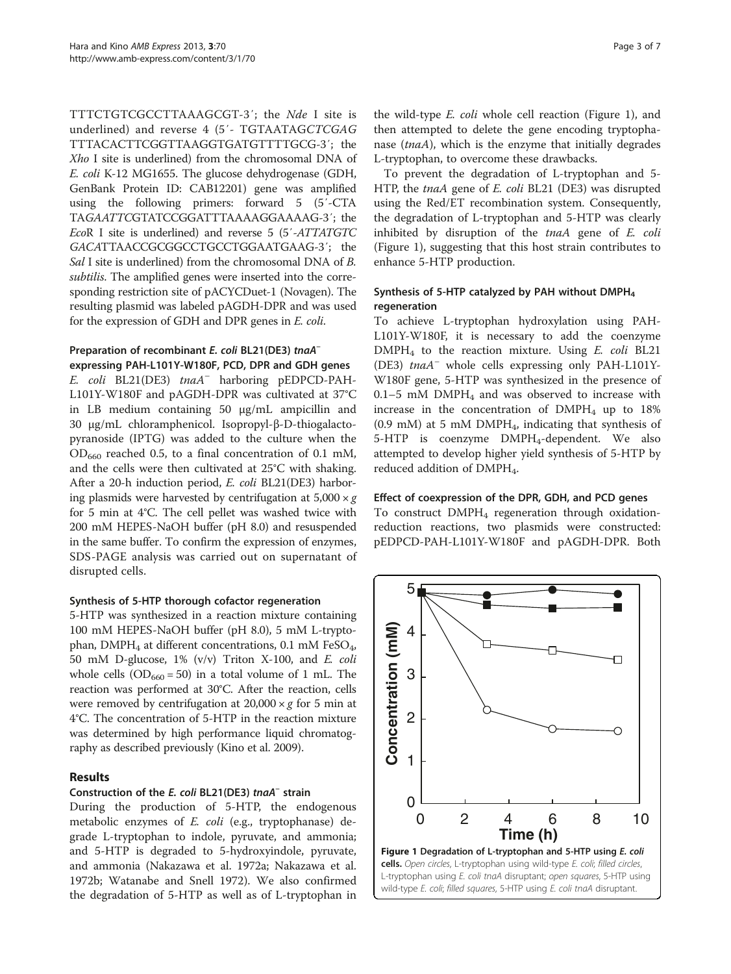TTTCTGTCGCCTTAAAGCGT-3′; the Nde I site is underlined) and reverse 4 (5′- TGTAATAGCTCGAG TTTACACTTCGGTTAAGGTGATGTTTTGCG-3′; the Xho I site is underlined) from the chromosomal DNA of E. coli K-12 MG1655. The glucose dehydrogenase (GDH, GenBank Protein ID: CAB12201) gene was amplified using the following primers: forward 5 (5′-CTA TAGAATTCGTATCCGGATTTAAAAGGAAAAG-3′; the EcoR I site is underlined) and reverse 5 (5′-ATTATGTC GACATTAACCGCGGCCTGCCTGGAATGAAG-3′; the Sal I site is underlined) from the chromosomal DNA of B. subtilis. The amplified genes were inserted into the corresponding restriction site of pACYCDuet-1 (Novagen). The resulting plasmid was labeled pAGDH-DPR and was used for the expression of GDH and DPR genes in E. coli.

# Preparation of recombinant E. coli BL21(DE3) tnaA<sup>-</sup> expressing PAH-L101Y-W180F, PCD, DPR and GDH genes

E. coli BL21(DE3) tnaA– harboring pEDPCD-PAH-L101Y-W180F and pAGDH-DPR was cultivated at 37°C in LB medium containing 50 μg/mL ampicillin and 30 μg/mL chloramphenicol. Isopropyl-β-D-thiogalactopyranoside (IPTG) was added to the culture when the  $OD_{660}$  reached 0.5, to a final concentration of 0.1 mM, and the cells were then cultivated at 25°C with shaking. After a 20-h induction period, E. coli BL21(DE3) harboring plasmids were harvested by centrifugation at  $5,000 \times g$ for 5 min at 4°C. The cell pellet was washed twice with 200 mM HEPES-NaOH buffer (pH 8.0) and resuspended in the same buffer. To confirm the expression of enzymes, SDS-PAGE analysis was carried out on supernatant of disrupted cells.

# Synthesis of 5-HTP thorough cofactor regeneration

5-HTP was synthesized in a reaction mixture containing 100 mM HEPES-NaOH buffer (pH 8.0), 5 mM L-tryptophan, DMPH<sub>4</sub> at different concentrations, 0.1 mM FeSO<sub>4</sub>, 50 mM D-glucose, 1% (v/v) Triton X-100, and E. coli whole cells  $(OD_{660} = 50)$  in a total volume of 1 mL. The reaction was performed at 30°C. After the reaction, cells were removed by centrifugation at  $20,000 \times g$  for 5 min at 4°C. The concentration of 5-HTP in the reaction mixture was determined by high performance liquid chromatography as described previously (Kino et al. [2009](#page-6-0)).

# Results

# Construction of the E. coli BL21(DE3) tnaA– strain

During the production of 5-HTP, the endogenous metabolic enzymes of E. coli (e.g., tryptophanase) degrade L-tryptophan to indole, pyruvate, and ammonia; and 5-HTP is degraded to 5-hydroxyindole, pyruvate, and ammonia (Nakazawa et al. [1972a](#page-6-0); Nakazawa et al. [1972b](#page-6-0); Watanabe and Snell [1972\)](#page-6-0). We also confirmed the degradation of 5-HTP as well as of L-tryptophan in the wild-type E. coli whole cell reaction (Figure 1), and then attempted to delete the gene encoding tryptophanase (tnaA), which is the enzyme that initially degrades L-tryptophan, to overcome these drawbacks.

To prevent the degradation of L-tryptophan and 5- HTP, the tnaA gene of E. coli BL21 (DE3) was disrupted using the Red/ET recombination system. Consequently, the degradation of L-tryptophan and 5-HTP was clearly inhibited by disruption of the tnaA gene of E. coli (Figure 1), suggesting that this host strain contributes to enhance 5-HTP production.

# Synthesis of 5-HTP catalyzed by PAH without DMPH $_A$ regeneration

To achieve L-tryptophan hydroxylation using PAH-L101Y-W180F, it is necessary to add the coenzyme DMPH4 to the reaction mixture. Using E. coli BL21 (DE3) tnaA– whole cells expressing only PAH-L101Y-W180F gene, 5-HTP was synthesized in the presence of  $0.1-5$  mM DMPH<sub>4</sub> and was observed to increase with increase in the concentration of  $DMPH_4$  up to 18%  $(0.9 \text{ mM})$  at 5 mM DMPH<sub>4</sub>, indicating that synthesis of 5-HTP is coenzyme DMPH<sub>4</sub>-dependent. We also attempted to develop higher yield synthesis of 5-HTP by reduced addition of DMPH<sub>4</sub>.

# Effect of coexpression of the DPR, GDH, and PCD genes

To construct  $DMPH_4$  regeneration through oxidationreduction reactions, two plasmids were constructed: pEDPCD-PAH-L101Y-W180F and pAGDH-DPR. Both

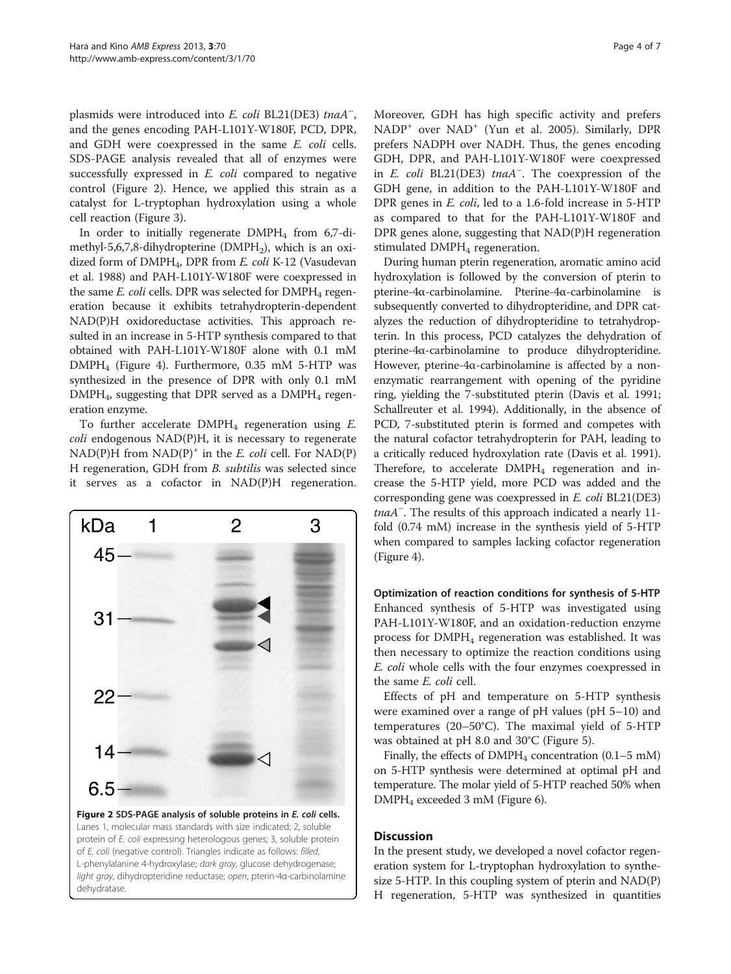plasmids were introduced into E. coli BL21(DE3) tnaA<sup>-</sup>, and the genes encoding PAH-L101Y-W180F, PCD, DPR, and GDH were coexpressed in the same E. coli cells. SDS-PAGE analysis revealed that all of enzymes were successfully expressed in *E. coli* compared to negative control (Figure 2). Hence, we applied this strain as a catalyst for L-tryptophan hydroxylation using a whole cell reaction (Figure [3](#page-4-0)).

In order to initially regenerate  $DMPH_4$  from 6,7-dimethyl-5,6,7,8-dihydropterine (DMPH<sub>2</sub>), which is an oxidized form of DMPH<sub>4</sub>, DPR from *E. coli* K-12 (Vasudevan et al. [1988](#page-6-0)) and PAH-L101Y-W180F were coexpressed in the same  $E$ . coli cells. DPR was selected for DMPH<sub>4</sub> regeneration because it exhibits tetrahydropterin-dependent NAD(P)H oxidoreductase activities. This approach resulted in an increase in 5-HTP synthesis compared to that obtained with PAH-L101Y-W180F alone with 0.1 mM DMPH4 (Figure [4](#page-4-0)). Furthermore, 0.35 mM 5-HTP was synthesized in the presence of DPR with only 0.1 mM  $DMPH_4$ , suggesting that DPR served as a  $DMPH_4$  regeneration enzyme.

To further accelerate  $DMPH_4$  regeneration using  $E$ . coli endogenous NAD(P)H, it is necessary to regenerate  $NAD(P)H$  from  $NAD(P)^+$  in the E. coli cell. For  $NAD(P)$ H regeneration, GDH from B. subtilis was selected since it serves as a cofactor in NAD(P)H regeneration.



Figure 2 SDS-PAGE analysis of soluble proteins in E. coli cells. Lanes 1, molecular mass standards with size indicated; 2, soluble protein of E. coli expressing heterologous genes; 3, soluble protein of E. coli (negative control). Triangles indicate as follows: filled, L-phenylalanine 4-hydroxylase; dark gray, glucose dehydrogenase; light gray, dihydropteridine reductase; open, pterin-4α-carbinolamine dehydratase.

Moreover, GDH has high specific activity and prefers NADP+ over NAD<sup>+</sup> (Yun et al. [2005](#page-6-0)). Similarly, DPR prefers NADPH over NADH. Thus, the genes encoding GDH, DPR, and PAH-L101Y-W180F were coexpressed in E. coli BL21(DE3) tnaA<sup>-</sup>. The coexpression of the GDH gene, in addition to the PAH-L101Y-W180F and DPR genes in E. coli, led to a 1.6-fold increase in 5-HTP as compared to that for the PAH-L101Y-W180F and DPR genes alone, suggesting that NAD(P)H regeneration stimulated DMPH<sub>4</sub> regeneration.

During human pterin regeneration, aromatic amino acid hydroxylation is followed by the conversion of pterin to pterine-4α-carbinolamine. Pterine-4α-carbinolamine is subsequently converted to dihydropteridine, and DPR catalyzes the reduction of dihydropteridine to tetrahydropterin. In this process, PCD catalyzes the dehydration of pterine-4α-carbinolamine to produce dihydropteridine. However, pterine-4α-carbinolamine is affected by a nonenzymatic rearrangement with opening of the pyridine ring, yielding the 7-substituted pterin (Davis et al. [1991](#page-6-0); Schallreuter et al. [1994](#page-6-0)). Additionally, in the absence of PCD, 7-substituted pterin is formed and competes with the natural cofactor tetrahydropterin for PAH, leading to a critically reduced hydroxylation rate (Davis et al. [1991](#page-6-0)). Therefore, to accelerate  $DMPH_4$  regeneration and increase the 5-HTP yield, more PCD was added and the corresponding gene was coexpressed in E. coli BL21(DE3) tnaA<sup>-</sup>. The results of this approach indicated a nearly 11fold (0.74 mM) increase in the synthesis yield of 5-HTP when compared to samples lacking cofactor regeneration (Figure [4](#page-4-0)).

Optimization of reaction conditions for synthesis of 5-HTP Enhanced synthesis of 5-HTP was investigated using PAH-L101Y-W180F, and an oxidation-reduction enzyme process for  $DMPH_4$  regeneration was established. It was then necessary to optimize the reaction conditions using E. coli whole cells with the four enzymes coexpressed in the same E. coli cell.

Effects of pH and temperature on 5-HTP synthesis were examined over a range of pH values (pH 5–10) and temperatures (20–50°C). The maximal yield of 5-HTP was obtained at pH 8.0 and 30°C (Figure [5](#page-5-0)).

Finally, the effects of  $DMPH_4$  concentration (0.1–5 mM) on 5-HTP synthesis were determined at optimal pH and temperature. The molar yield of 5-HTP reached 50% when DMPH4 exceeded 3 mM (Figure [6\)](#page-5-0).

# **Discussion**

In the present study, we developed a novel cofactor regeneration system for L-tryptophan hydroxylation to synthesize 5-HTP. In this coupling system of pterin and NAD(P) H regeneration, 5-HTP was synthesized in quantities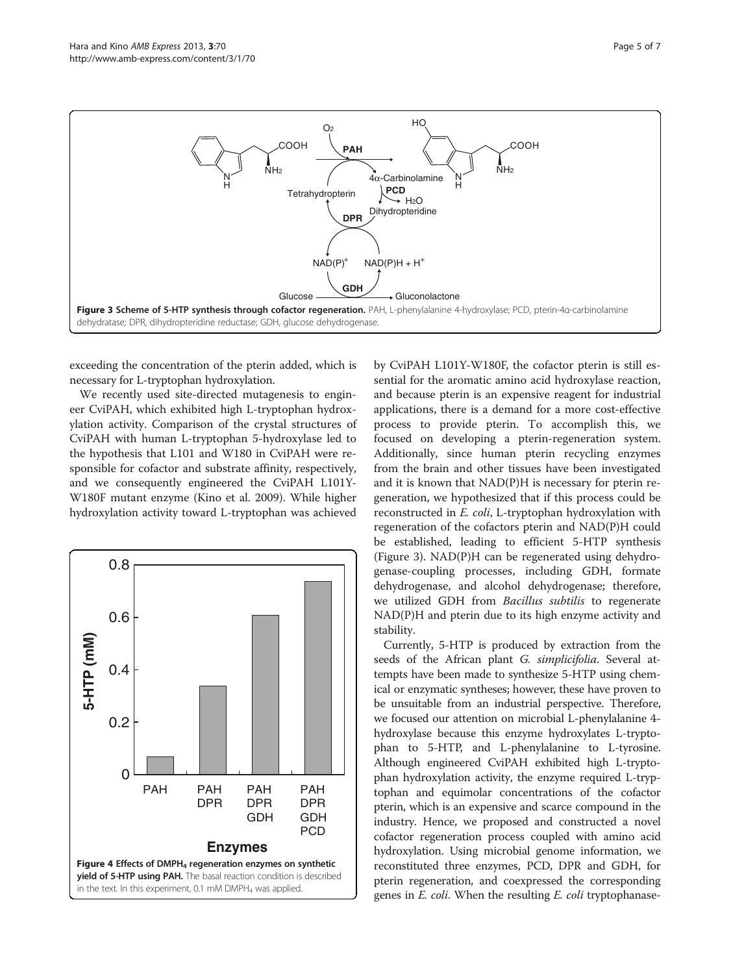<span id="page-4-0"></span>

exceeding the concentration of the pterin added, which is necessary for L-tryptophan hydroxylation.

We recently used site-directed mutagenesis to engineer CviPAH, which exhibited high L-tryptophan hydroxylation activity. Comparison of the crystal structures of CviPAH with human L-tryptophan 5-hydroxylase led to the hypothesis that L101 and W180 in CviPAH were responsible for cofactor and substrate affinity, respectively, and we consequently engineered the CviPAH L101Y-W180F mutant enzyme (Kino et al. [2009](#page-6-0)). While higher hydroxylation activity toward L-tryptophan was achieved



by CviPAH L101Y-W180F, the cofactor pterin is still essential for the aromatic amino acid hydroxylase reaction, and because pterin is an expensive reagent for industrial applications, there is a demand for a more cost-effective process to provide pterin. To accomplish this, we focused on developing a pterin-regeneration system. Additionally, since human pterin recycling enzymes from the brain and other tissues have been investigated and it is known that NAD(P)H is necessary for pterin regeneration, we hypothesized that if this process could be reconstructed in E. coli, L-tryptophan hydroxylation with regeneration of the cofactors pterin and NAD(P)H could be established, leading to efficient 5-HTP synthesis (Figure 3). NAD(P)H can be regenerated using dehydrogenase-coupling processes, including GDH, formate dehydrogenase, and alcohol dehydrogenase; therefore, we utilized GDH from Bacillus subtilis to regenerate NAD(P)H and pterin due to its high enzyme activity and stability.

Currently, 5-HTP is produced by extraction from the seeds of the African plant G. simplicifolia. Several attempts have been made to synthesize 5-HTP using chemical or enzymatic syntheses; however, these have proven to be unsuitable from an industrial perspective. Therefore, we focused our attention on microbial L-phenylalanine 4 hydroxylase because this enzyme hydroxylates L-tryptophan to 5-HTP, and L-phenylalanine to L-tyrosine. Although engineered CviPAH exhibited high L-tryptophan hydroxylation activity, the enzyme required L-tryptophan and equimolar concentrations of the cofactor pterin, which is an expensive and scarce compound in the industry. Hence, we proposed and constructed a novel cofactor regeneration process coupled with amino acid hydroxylation. Using microbial genome information, we reconstituted three enzymes, PCD, DPR and GDH, for pterin regeneration, and coexpressed the corresponding genes in E. coli. When the resulting E. coli tryptophanase-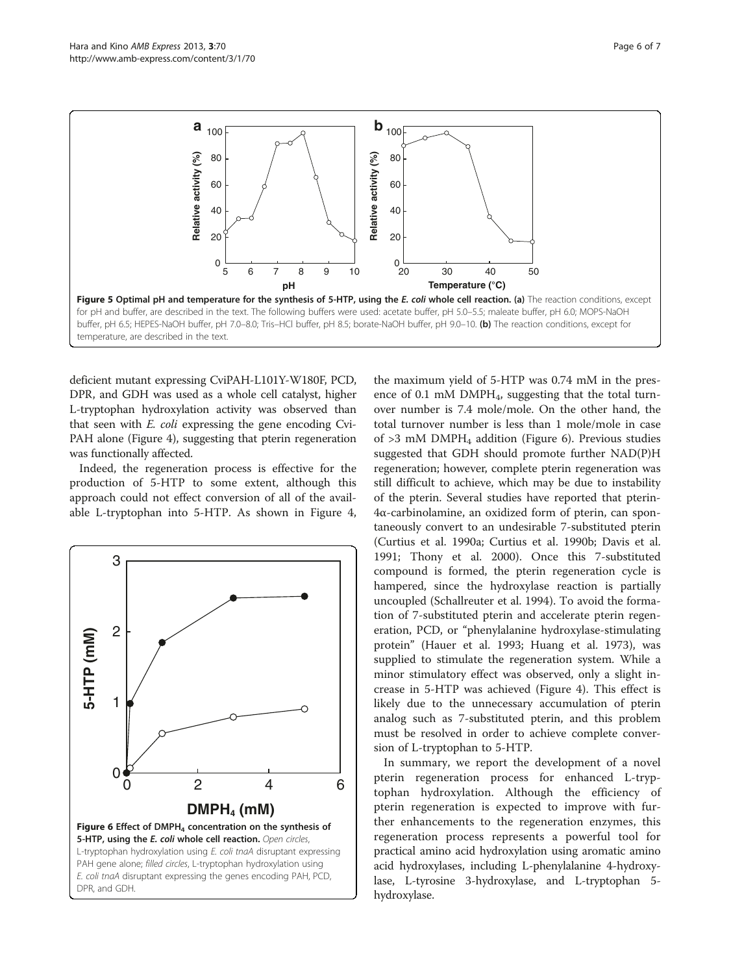<span id="page-5-0"></span>

deficient mutant expressing CviPAH-L101Y-W180F, PCD, DPR, and GDH was used as a whole cell catalyst, higher L-tryptophan hydroxylation activity was observed than that seen with E. coli expressing the gene encoding Cvi-PAH alone (Figure [4](#page-4-0)), suggesting that pterin regeneration was functionally affected.

Indeed, the regeneration process is effective for the production of 5-HTP to some extent, although this approach could not effect conversion of all of the available L-tryptophan into 5-HTP. As shown in Figure [4](#page-4-0),



the maximum yield of 5-HTP was 0.74 mM in the presence of 0.1 mM  $DMPH_4$ , suggesting that the total turnover number is 7.4 mole/mole. On the other hand, the total turnover number is less than 1 mole/mole in case of  $>3$  mM DMPH<sub>4</sub> addition (Figure 6). Previous studies suggested that GDH should promote further NAD(P)H regeneration; however, complete pterin regeneration was still difficult to achieve, which may be due to instability of the pterin. Several studies have reported that pterin-4α-carbinolamine, an oxidized form of pterin, can spontaneously convert to an undesirable 7-substituted pterin (Curtius et al. [1990a](#page-6-0); Curtius et al. [1990b](#page-6-0); Davis et al. [1991](#page-6-0); Thony et al. [2000](#page-6-0)). Once this 7-substituted compound is formed, the pterin regeneration cycle is hampered, since the hydroxylase reaction is partially uncoupled (Schallreuter et al. [1994\)](#page-6-0). To avoid the formation of 7-substituted pterin and accelerate pterin regeneration, PCD, or "phenylalanine hydroxylase-stimulating protein" (Hauer et al. [1993;](#page-6-0) Huang et al. [1973\)](#page-6-0), was supplied to stimulate the regeneration system. While a minor stimulatory effect was observed, only a slight increase in 5-HTP was achieved (Figure [4\)](#page-4-0). This effect is likely due to the unnecessary accumulation of pterin analog such as 7-substituted pterin, and this problem must be resolved in order to achieve complete conversion of L-tryptophan to 5-HTP.

In summary, we report the development of a novel pterin regeneration process for enhanced L-tryptophan hydroxylation. Although the efficiency of pterin regeneration is expected to improve with further enhancements to the regeneration enzymes, this regeneration process represents a powerful tool for practical amino acid hydroxylation using aromatic amino acid hydroxylases, including L-phenylalanine 4-hydroxylase, L-tyrosine 3-hydroxylase, and L-tryptophan 5 hydroxylase.